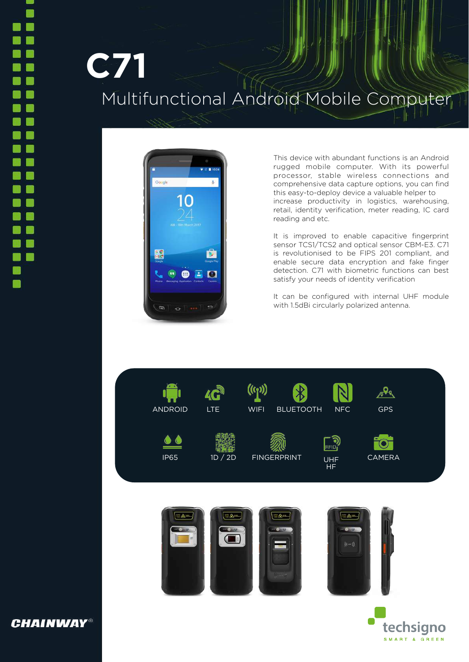## **C71** Multifunctional Android Mobile Computer



This device with abundant functions is an Android rugged mobile computer. With its powerful processor, stable wireless connections and comprehensive data capture options, you can find this easy-to-deploy device a valuable helper to increase productivity in logistics, warehousing, retail, identity verification, meter reading, IC card reading and etc.

It is improved to enable capacitive fingerprint sensor TCS1/TCS2 and optical sensor CBM-E3. C71 is revolutionised to be FIPS 201 compliant, and enable secure data encryption and fake finger detection. C71 with biometric functions can best satisfy your needs of identity verification

It can be configured with internal UHF module with 1.5dBi circularly polarized antenna.



**CHAINWAY®**